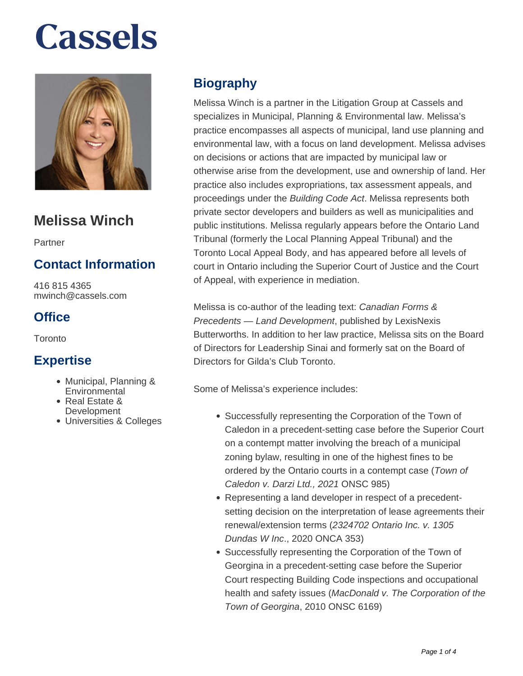

# **Melissa Winch**

Partner

### **Contact Information**

416 815 4365 mwinch@cassels.com

### **Office**

**Toronto** 

#### **Expertise**

- Municipal, Planning & **Environmental**
- Real Estate & **Development**
- Universities & Colleges

## **Biography**

Melissa Winch is a partner in the Litigation Group at Cassels and specializes in Municipal, Planning & Environmental law. Melissa's practice encompasses all aspects of municipal, land use planning and environmental law, with a focus on land development. Melissa advises on decisions or actions that are impacted by municipal law or otherwise arise from the development, use and ownership of land. Her practice also includes expropriations, tax assessment appeals, and proceedings under the Building Code Act. Melissa represents both private sector developers and builders as well as municipalities and public institutions. Melissa regularly appears before the Ontario Land Tribunal (formerly the Local Planning Appeal Tribunal) and the Toronto Local Appeal Body, and has appeared before all levels of court in Ontario including the Superior Court of Justice and the Court of Appeal, with experience in mediation.

Melissa is co-author of the leading text: Canadian Forms & Precedents — Land Development, published by LexisNexis Butterworths. In addition to her law practice, Melissa sits on the Board of Directors for Leadership Sinai and formerly sat on the Board of Directors for Gilda's Club Toronto.

Some of Melissa's experience includes:

- Successfully representing the Corporation of the Town of Caledon in a precedent-setting case before the Superior Court on a contempt matter involving the breach of a municipal zoning bylaw, resulting in one of the highest fines to be ordered by the Ontario courts in a contempt case (Town of Caledon v. Darzi Ltd., 2021 ONSC 985)
- Representing a land developer in respect of a precedentsetting decision on the interpretation of lease agreements their renewal/extension terms (2324702 Ontario Inc. v. 1305 Dundas W Inc., 2020 ONCA 353)
- Successfully representing the Corporation of the Town of Georgina in a precedent-setting case before the Superior Court respecting Building Code inspections and occupational health and safety issues (MacDonald v. The Corporation of the Town of Georgina, 2010 ONSC 6169)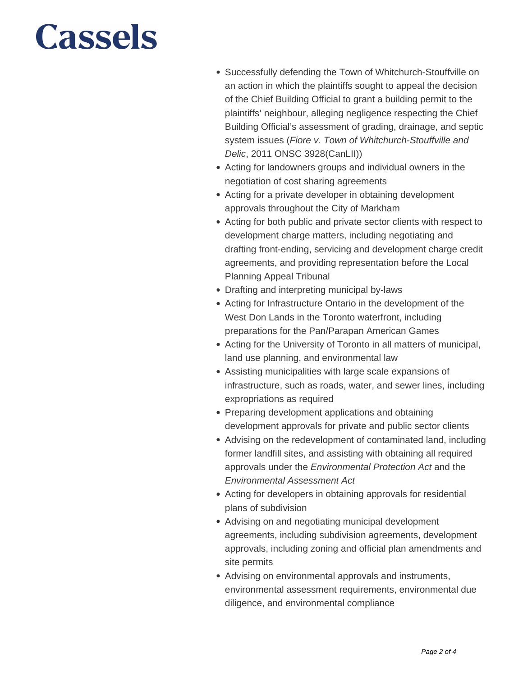- Successfully defending the Town of Whitchurch-Stouffville on an action in which the plaintiffs sought to appeal the decision of the Chief Building Official to grant a building permit to the plaintiffs' neighbour, alleging negligence respecting the Chief Building Official's assessment of grading, drainage, and septic system issues (Fiore v. Town of Whitchurch-Stouffville and Delic, 2011 ONSC 3928(CanLII))
- Acting for landowners groups and individual owners in the negotiation of cost sharing agreements
- Acting for a private developer in obtaining development approvals throughout the City of Markham
- Acting for both public and private sector clients with respect to development charge matters, including negotiating and drafting front-ending, servicing and development charge credit agreements, and providing representation before the Local Planning Appeal Tribunal
- Drafting and interpreting municipal by-laws
- Acting for Infrastructure Ontario in the development of the West Don Lands in the Toronto waterfront, including preparations for the Pan/Parapan American Games
- Acting for the University of Toronto in all matters of municipal, land use planning, and environmental law
- Assisting municipalities with large scale expansions of infrastructure, such as roads, water, and sewer lines, including expropriations as required
- Preparing development applications and obtaining development approvals for private and public sector clients
- Advising on the redevelopment of contaminated land, including former landfill sites, and assisting with obtaining all required approvals under the Environmental Protection Act and the Environmental Assessment Act
- Acting for developers in obtaining approvals for residential plans of subdivision
- Advising on and negotiating municipal development agreements, including subdivision agreements, development approvals, including zoning and official plan amendments and site permits
- Advising on environmental approvals and instruments, environmental assessment requirements, environmental due diligence, and environmental compliance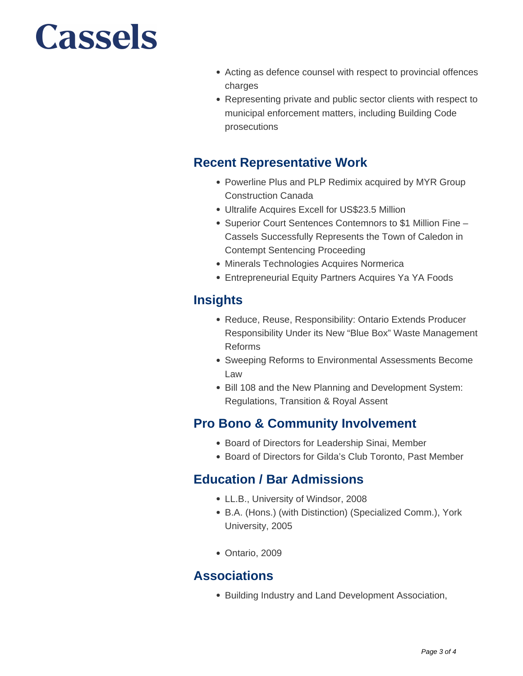- Acting as defence counsel with respect to provincial offences charges
- Representing private and public sector clients with respect to municipal enforcement matters, including Building Code prosecutions

#### **Recent Representative Work**

- Powerline Plus and PLP Redimix acquired by MYR Group Construction Canada
- Ultralife Acquires Excell for US\$23.5 Million
- Superior Court Sentences Contemnors to \$1 Million Fine Cassels Successfully Represents the Town of Caledon in Contempt Sentencing Proceeding
- Minerals Technologies Acquires Normerica
- Entrepreneurial Equity Partners Acquires Ya YA Foods

### **Insights**

- Reduce, Reuse, Responsibility: Ontario Extends Producer Responsibility Under its New "Blue Box" Waste Management Reforms
- Sweeping Reforms to Environmental Assessments Become Law
- Bill 108 and the New Planning and Development System: Regulations, Transition & Royal Assent

### **Pro Bono & Community Involvement**

- Board of Directors for Leadership Sinai, Member
- Board of Directors for Gilda's Club Toronto, Past Member

### **Education / Bar Admissions**

- LL.B., University of Windsor, 2008
- B.A. (Hons.) (with Distinction) (Specialized Comm.), York University, 2005
- Ontario, 2009

### **Associations**

• Building Industry and Land Development Association,